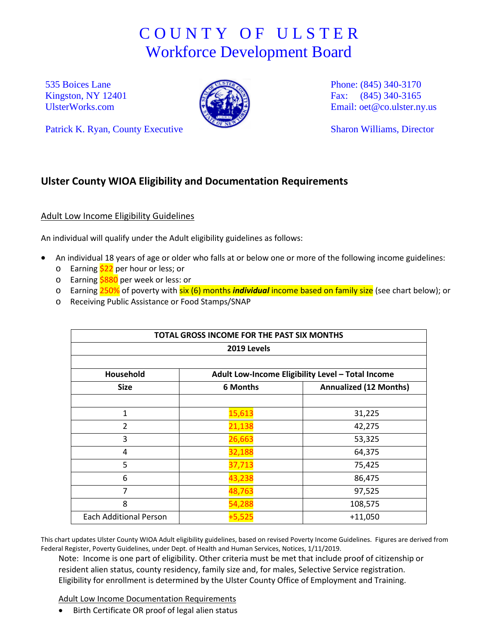## C O U N T Y O F U L S T E R Workforce Development Board

535 Boices Lane Kingston, NY 12401 [UlsterWorks.com](http://www.ulsterworks.com/)



Phone: (845) 340-3170 Fax: (845) 340-3165 Email: [oet@co.ulster.ny.us](mailto:oet@co.ulster.ny.us)

Sharon Williams, Director

## **Ulster County WIOA Eligibility and Documentation Requirements**

## Adult Low Income Eligibility Guidelines

Patrick K. Ryan, County Executive

An individual will qualify under the Adult eligibility guidelines as follows:

- An individual 18 years of age or older who falls at or below one or more of the following income guidelines:
	- $\circ$  Earning  $\frac{22}{2}$  per hour or less; or
	- o Earning \$880 per week or less: or
	- o Earning 250% of poverty with six (6) months *individual* income based on family size (see chart below); or
	- o Receiving Public Assistance or Food Stamps/SNAP

| TOTAL GROSS INCOME FOR THE PAST SIX MONTHS<br>2019 Levels |                                                   |                               |
|-----------------------------------------------------------|---------------------------------------------------|-------------------------------|
|                                                           |                                                   |                               |
| Household                                                 | Adult Low-Income Eligibility Level - Total Income |                               |
| <b>Size</b>                                               | 6 Months                                          | <b>Annualized (12 Months)</b> |
|                                                           |                                                   |                               |
| 1                                                         | 15,613                                            | 31,225                        |
| $\overline{2}$                                            | 21,138                                            | 42,275                        |
| 3                                                         | 26,663                                            | 53,325                        |
| 4                                                         | 32,188                                            | 64,375                        |
| 5                                                         | 37,713                                            | 75,425                        |
| 6                                                         | 43,238                                            | 86,475                        |
| 7                                                         | 48,763                                            | 97,525                        |
| 8                                                         | 54,288                                            | 108,575                       |
| <b>Each Additional Person</b>                             | +5,525                                            | $+11,050$                     |

This chart updates Ulster County WIOA Adult eligibility guidelines, based on revised Poverty Income Guidelines. Figures are derived from Federal Register, Poverty Guidelines, under Dept. of Health and Human Services, Notices, 1/11/2019.

Note: Income is one part of eligibility. Other criteria must be met that include proof of citizenship or resident alien status, county residency, family size and, for males, Selective Service registration. Eligibility for enrollment is determined by the Ulster County Office of Employment and Training.

Adult Low Income Documentation Requirements

• Birth Certificate OR proof of legal alien status